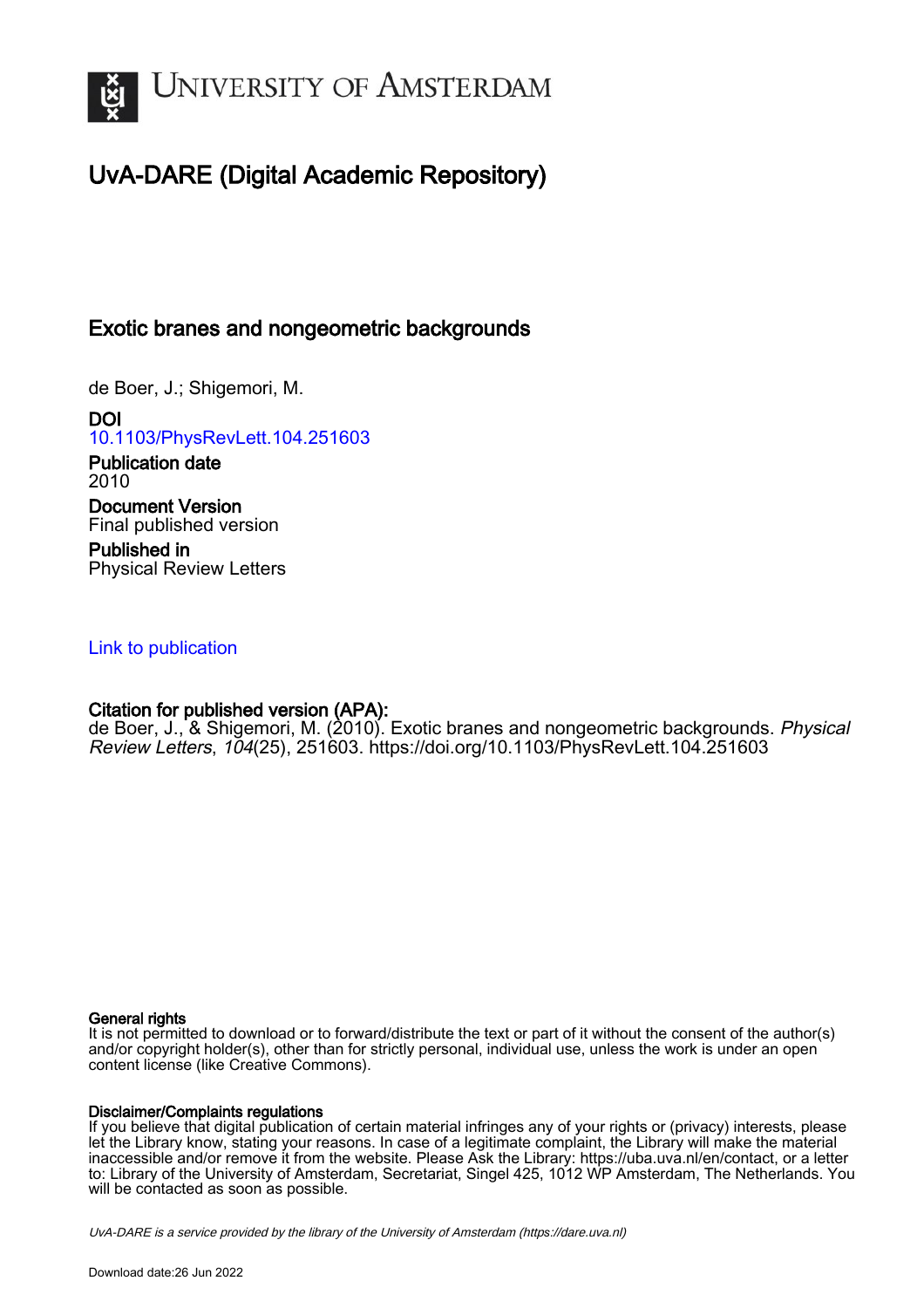

# UvA-DARE (Digital Academic Repository)

## Exotic branes and nongeometric backgrounds

de Boer, J.; Shigemori, M.

DOI [10.1103/PhysRevLett.104.251603](https://doi.org/10.1103/PhysRevLett.104.251603)

Publication date 2010 Document Version Final published version

Published in Physical Review Letters

### [Link to publication](https://dare.uva.nl/personal/pure/en/publications/exotic-branes-and-nongeometric-backgrounds(cea7bc83-c6f6-4151-8aac-6d83f9d5b933).html)

## Citation for published version (APA):

de Boer, J., & Shigemori, M. (2010). Exotic branes and nongeometric backgrounds. Physical Review Letters, 104(25), 251603. <https://doi.org/10.1103/PhysRevLett.104.251603>

#### General rights

It is not permitted to download or to forward/distribute the text or part of it without the consent of the author(s) and/or copyright holder(s), other than for strictly personal, individual use, unless the work is under an open content license (like Creative Commons).

#### Disclaimer/Complaints regulations

If you believe that digital publication of certain material infringes any of your rights or (privacy) interests, please let the Library know, stating your reasons. In case of a legitimate complaint, the Library will make the material inaccessible and/or remove it from the website. Please Ask the Library: https://uba.uva.nl/en/contact, or a letter to: Library of the University of Amsterdam, Secretariat, Singel 425, 1012 WP Amsterdam, The Netherlands. You will be contacted as soon as possible.

UvA-DARE is a service provided by the library of the University of Amsterdam (http*s*://dare.uva.nl)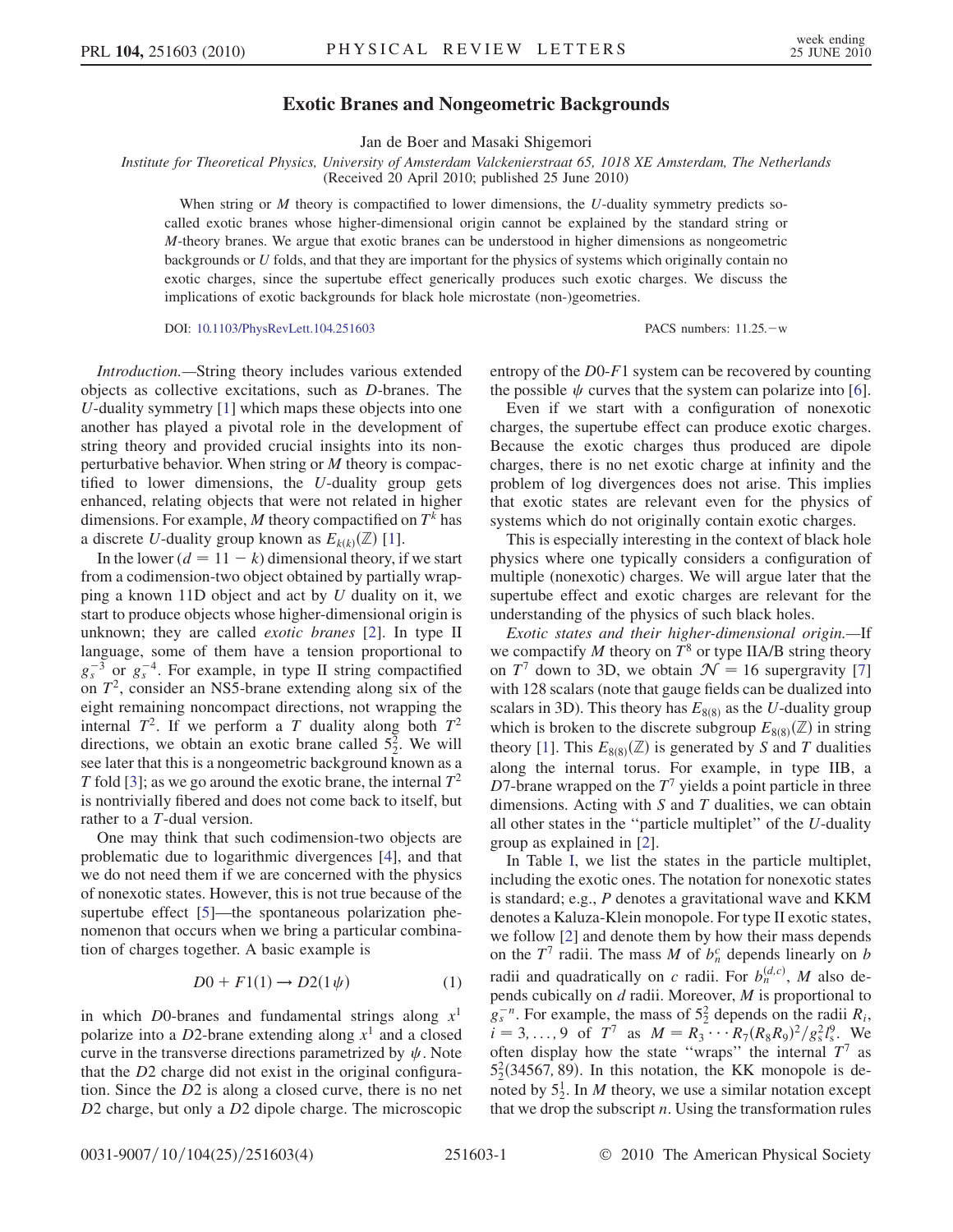#### Exotic Branes and Nongeometric Backgrounds

Jan de Boer and Masaki Shigemori

Institute for Theoretical Physics, University of Amsterdam Valckenierstraat 65, 1018 XE Amsterdam, The Netherlands (Received 20 April 2010; published 25 June 2010)

When string or  $M$  theory is compactified to lower dimensions, the  $U$ -duality symmetry predicts socalled exotic branes whose higher-dimensional origin cannot be explained by the standard string or  $M$ -theory branes. We argue that exotic branes can be understood in higher dimensions as nongeometric backgrounds or U folds, and that they are important for the physics of systems which originally contain no exotic charges, since the supertube effect generically produces such exotic charges. We discuss the implications of exotic backgrounds for black hole microstate (non-)geometries.

DOI: [10.1103/PhysRevLett.104.251603](http://dx.doi.org/10.1103/PhysRevLett.104.251603) PACS numbers: 11.25.w

Introduction.—String theory includes various extended objects as collective excitations, such as D-branes. The U-duality symmetry [\[1](#page-4-0)] which maps these objects into one another has played a pivotal role in the development of string theory and provided crucial insights into its nonperturbative behavior. When string or M theory is compactified to lower dimensions, the U-duality group gets enhanced, relating objects that were not related in higher dimensions. For example, M theory compactified on  $T^k$  has a discrete U-duality group known as  $E_{k(k)}(\mathbb{Z})$  [\[1](#page-4-0)].

In the lower  $(d = 11 - k)$  dimensional theory, if we start from a codimension-two object obtained by partially wrapping a known 11D object and act by  $U$  duality on it, we start to produce objects whose higher-dimensional origin is unknown; they are called *exotic branes* [[2\]](#page-4-1). In type II language, some of them have a tension proportional to  $g_s^{-3}$  or  $g_s^{-4}$ . For example, in type II string compactified on  $T<sup>2</sup>$ , consider an NS5-brane extending along six of the eight remaining noncompact directions, not wrapping the internal  $T^2$ . If we perform a T duality along both  $T^2$ directions, we obtain an exotic brane called  $5^2$ . We will<br>see later that this is a nongeometric background known as a see later that this is a nongeometric background known as a T fold [\[3](#page-4-2)]; as we go around the exotic brane, the internal  $T^2$ is nontrivially fibered and does not come back to itself, but rather to a T-dual version.

One may think that such codimension-two objects are problematic due to logarithmic divergences [[4](#page-4-3)], and that we do not need them if we are concerned with the physics of nonexotic states. However, this is not true because of the supertube effect [[5\]](#page-4-4)—the spontaneous polarization phenomenon that occurs when we bring a particular combination of charges together. A basic example is

$$
D0 + F1(1) \rightarrow D2(1 \psi) \tag{1}
$$

<span id="page-1-0"></span>in which D0-branes and fundamental strings along  $x<sup>1</sup>$ polarize into a D2-brane extending along  $x<sup>1</sup>$  and a closed curve in the transverse directions parametrized by  $\psi$ . Note that the <sup>D</sup>2 charge did not exist in the original configuration. Since the <sup>D</sup>2 is along a closed curve, there is no net D2 charge, but only a D2 dipole charge. The microscopic entropy of the <sup>D</sup>0-F1 system can be recovered by counting the possible  $\psi$  curves that the system can polarize into [[6\]](#page-4-5).

Even if we start with a configuration of nonexotic charges, the supertube effect can produce exotic charges. Because the exotic charges thus produced are dipole charges, there is no net exotic charge at infinity and the problem of log divergences does not arise. This implies that exotic states are relevant even for the physics of systems which do not originally contain exotic charges.

This is especially interesting in the context of black hole physics where one typically considers a configuration of multiple (nonexotic) charges. We will argue later that the supertube effect and exotic charges are relevant for the understanding of the physics of such black holes.

Exotic states and their higher-dimensional origin.—If we compactify M theory on  $T^8$  or type IIA/B string theory on  $T^7$  down to 3D, we obtain  $\mathcal{N} = 16$  supergravity [\[7\]](#page-4-6) with 128 scalars (note that gauge fields can be dualized into scalars in 3D). This theory has  $E_{8(8)}$  as the U-duality group which is broken to the discrete subgroup  $E_{8(8)}(\mathbb{Z})$  in string theory [\[1](#page-4-0)]. This  $E_{8(8)}(\mathbb{Z})$  is generated by S and T dualities along the internal torus. For example, in type IIB, a D7-brane wrapped on the  $T<sup>7</sup>$  yields a point particle in three dimensions. Acting with  $S$  and  $T$  dualities, we can obtain all other states in the ''particle multiplet'' of the U-duality group as explained in [[2\]](#page-4-1).

In Table [I](#page-2-0), we list the states in the particle multiplet, including the exotic ones. The notation for nonexotic states is standard; e.g., P denotes a gravitational wave and KKM denotes a Kaluza-Klein monopole. For type II exotic states, we follow [\[2](#page-4-1)] and denote them by how their mass depends on the  $T^7$  radii. The mass M of  $b_n^c$  depends linearly on b radii and quadratically on c radii. For  $b_n^{(d,c)}$ , M also depends cubically on  $d$  radii. Moreover,  $M$  is proportional to  $g_s^{-n}$ . For example, the mass of 5<sup>2</sup> depends on the radii  $R_i$ ,<br>  $j = 3$  0 of  $T^7$  as  $M = R_2 \cdots R_r (R_r R_s)^2 / \sigma^2 l^9$  We  $i = 3, ..., 9$  of  $T^7$  as  $M = R_3 \cdots R_7(R_8R_9)^2/g_s^2l_s^9$ . We often display how the state "wraps" the internal  $T^7$  as  $\frac{5}{2}$  $5\frac{2}{3}$ (34567, 89). In this notation, the KK monopole is denoted by  $5^1_2$ . In *M* theory, we use a similar notation except<br>that we drop the subscript *n*. Using the transformation rules that we drop the subscript  $n$ . Using the transformation rules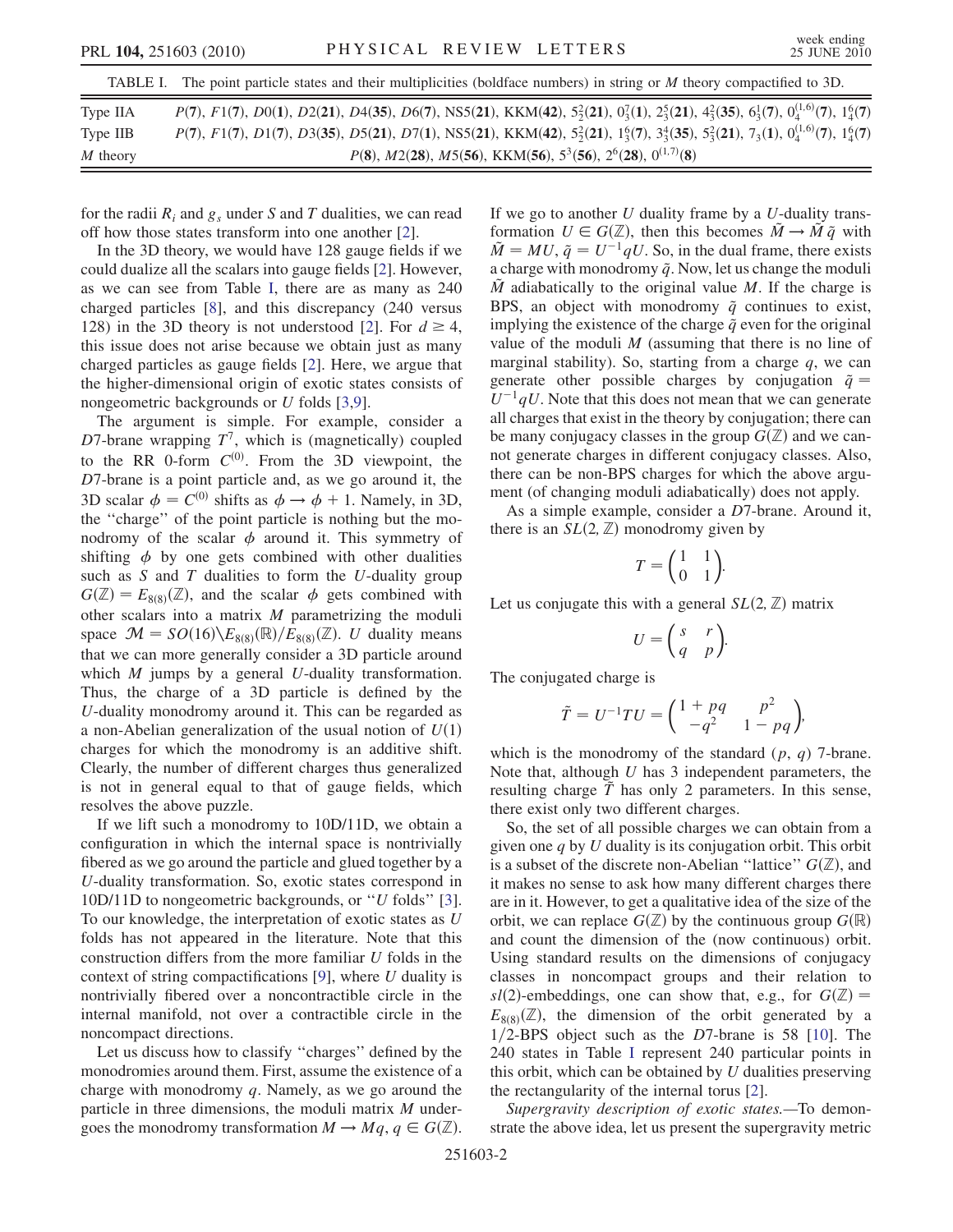<span id="page-2-0"></span>

| $P(7)$ , $F1(7)$ , $D0(1)$ , $D2(21)$ , $D4(35)$ , $D6(7)$ , NS5(21), KKM(42), $5^{2}_{2}(21)$ , $0^{7}_{3}(1)$ , $2^{5}_{3}(21)$ , $4^{2}_{3}(35)$ , $6^{1}_{3}(7)$ , $0^{(1,6)}_{4}(7)$ , $1^{6}_{4}(7)$<br>Type IIA<br>$P(7)$ , $F1(7)$ , $D1(7)$ , $D3(35)$ , $D5(21)$ , $D7(1)$ , NS5(21), KKM(42), $5^{2}_{2}(21)$ , $1^{6}_{3}(7)$ , $3^{4}_{3}(35)$ , $5^{2}_{3}(21)$ , $7_{3}(1)$ , $0^{(1,6)}_{4}(7)$ , $1^{6}_{4}(7)$<br>Type IIB | TABLE 1. The point particle states and their mumphemes (bordrace numbers) in sump of <i>M</i> theory compactmed to JD. |
|----------------------------------------------------------------------------------------------------------------------------------------------------------------------------------------------------------------------------------------------------------------------------------------------------------------------------------------------------------------------------------------------------------------------------------------------|------------------------------------------------------------------------------------------------------------------------|
|                                                                                                                                                                                                                                                                                                                                                                                                                                              |                                                                                                                        |
|                                                                                                                                                                                                                                                                                                                                                                                                                                              |                                                                                                                        |
| $P(8), M2(28), M5(56), KKM(56), 53(56), 26(28), 0(1,7)(8)$<br>M theory                                                                                                                                                                                                                                                                                                                                                                       |                                                                                                                        |

The point particle states and their multiplicities (boldface numbers) in string on M theory compactified

for the radii  $R_i$  and  $g_s$  under S and T dualities, we can read off how those states transform into one another [\[2\]](#page-4-1).

In the 3D theory, we would have 128 gauge fields if we could dualize all the scalars into gauge fields [\[2\]](#page-4-1). However, as we can see from Table [I](#page-2-0), there are as many as 240 charged particles [\[8\]](#page-4-7), and this discrepancy (240 versus 1[2](#page-4-1)8) in the 3D theory is not understood [2]. For  $d \ge 4$ , this issue does not arise because we obtain just as many charged particles as gauge fields [[2](#page-4-1)]. Here, we argue that the higher-dimensional origin of exotic states consists of nongeometric backgrounds or U folds [\[3,](#page-4-2)[9](#page-4-8)].

The argument is simple. For example, consider a D7-brane wrapping  $T^7$ , which is (magnetically) coupled to the RR 0-form  $C^{(0)}$ . From the 3D viewpoint, the <sup>D</sup>7-brane is a point particle and, as we go around it, the 3D scalar  $\phi = C^{(0)}$  shifts as  $\phi \rightarrow \phi + 1$ . Namely, in 3D, the ''charge'' of the point particle is nothing but the monodromy of the scalar  $\phi$  around it. This symmetry of shifting  $\phi$  by one gets combined with other dualities such as  $S$  and  $T$  dualities to form the  $U$ -duality group  $G(\mathbb{Z})=E_{8(8)}(\mathbb{Z})$ , and the scalar  $\phi$  gets combined with other scalars into a matrix  $M$  parametrizing the moduli space  $\mathcal{M} = SO(16)\backslash E_{8(8)}(\mathbb{R})/E_{8(8)}(\mathbb{Z})$ . U duality means that we can more generally consider a 3D particle around which  $M$  jumps by a general  $U$ -duality transformation. Thus, the charge of a 3D particle is defined by the U-duality monodromy around it. This can be regarded as a non-Abelian generalization of the usual notion of  $U(1)$ charges for which the monodromy is an additive shift. Clearly, the number of different charges thus generalized is not in general equal to that of gauge fields, which resolves the above puzzle.

If we lift such a monodromy to 10D/11D, we obtain a configuration in which the internal space is nontrivially fibered as we go around the particle and glued together by a U-duality transformation. So, exotic states correspond in 10D/11D to nongeometric backgrounds, or ''U folds'' [[3\]](#page-4-2). To our knowledge, the interpretation of exotic states as U folds has not appeared in the literature. Note that this construction differs from the more familiar U folds in the context of string compactifications  $[9]$ , where U duality is nontrivially fibered over a noncontractible circle in the internal manifold, not over a contractible circle in the noncompact directions.

Let us discuss how to classify ''charges'' defined by the monodromies around them. First, assume the existence of a charge with monodromy  $q$ . Namely, as we go around the particle in three dimensions, the moduli matrix M undergoes the monodromy transformation  $M \to Mq$ ,  $q \in G(\mathbb{Z})$ . If we go to another  $U$  duality frame by a  $U$ -duality transformation  $U \in G(\mathbb{Z})$ , then this becomes  $\tilde{M} \to \tilde{M} \tilde{q}$  with  $\tilde{M} = MU$ ,  $\tilde{q} = U^{-1}qU$ . So, in the dual frame, there exists a charge with monodromy  $\tilde{q}$ . Now, let us change the moduli  $\tilde{M}$  adiabatically to the original value M. If the charge is BPS, an object with monodromy  $\tilde{q}$  continues to exist, implying the existence of the charge  $\tilde{q}$  even for the original value of the moduli  $M$  (assuming that there is no line of marginal stability). So, starting from a charge  $q$ , we can generate other possible charges by conjugation  $\tilde{q} =$  $U^{-1}qU$ . Note that this does not mean that we can generate all charges that exist in the theory by conjugation; there can be many conjugacy classes in the group  $G(\mathbb{Z})$  and we cannot generate charges in different conjugacy classes. Also, there can be non-BPS charges for which the above argument (of changing moduli adiabatically) does not apply.

As a simple example, consider a <sup>D</sup>7-brane. Around it, there is an  $SL(2, \mathbb{Z})$  monodromy given by

$$
T = \begin{pmatrix} 1 & 1 \\ 0 & 1 \end{pmatrix}.
$$

Let us conjugate this with a general  $SL(2, \mathbb{Z})$  matrix

$$
U = \begin{pmatrix} s & r \\ q & p \end{pmatrix}.
$$

The conjugated charge is

$$
\tilde{T} = U^{-1}TU = \begin{pmatrix} 1 + pq & p^2 \\ -q^2 & 1 - pq \end{pmatrix},
$$

which is the monodromy of the standard  $(p, q)$  7-brane. Note that, although  $U$  has 3 independent parameters, the resulting charge  $\tilde{T}$  has only 2 parameters. In this sense, there exist only two different charges.

So, the set of all possible charges we can obtain from a given one  $q$  by  $U$  duality is its conjugation orbit. This orbit is a subset of the discrete non-Abelian "lattice"  $G(\mathbb{Z})$ , and it makes no sense to ask how many different charges there are in it. However, to get a qualitative idea of the size of the orbit, we can replace  $G(\mathbb{Z})$  by the continuous group  $G(\mathbb{R})$ and count the dimension of the (now continuous) orbit. Using standard results on the dimensions of conjugacy classes in noncompact groups and their relation to sl(2)-embeddings, one can show that, e.g., for  $G(\mathbb{Z}) =$  $E_{8(8)}(\mathbb{Z})$ , the dimension of the orbit generated by a  $1/2$ -BPS object such as the D7-brane is 58 [[10](#page-4-9)]. The 240 states in Table [I](#page-2-0) represent 240 particular points in this orbit, which can be obtained by  $U$  dualities preserving the rectangularity of the internal torus [\[2\]](#page-4-1).

Supergravity description of exotic states.—To demonstrate the above idea, let us present the supergravity metric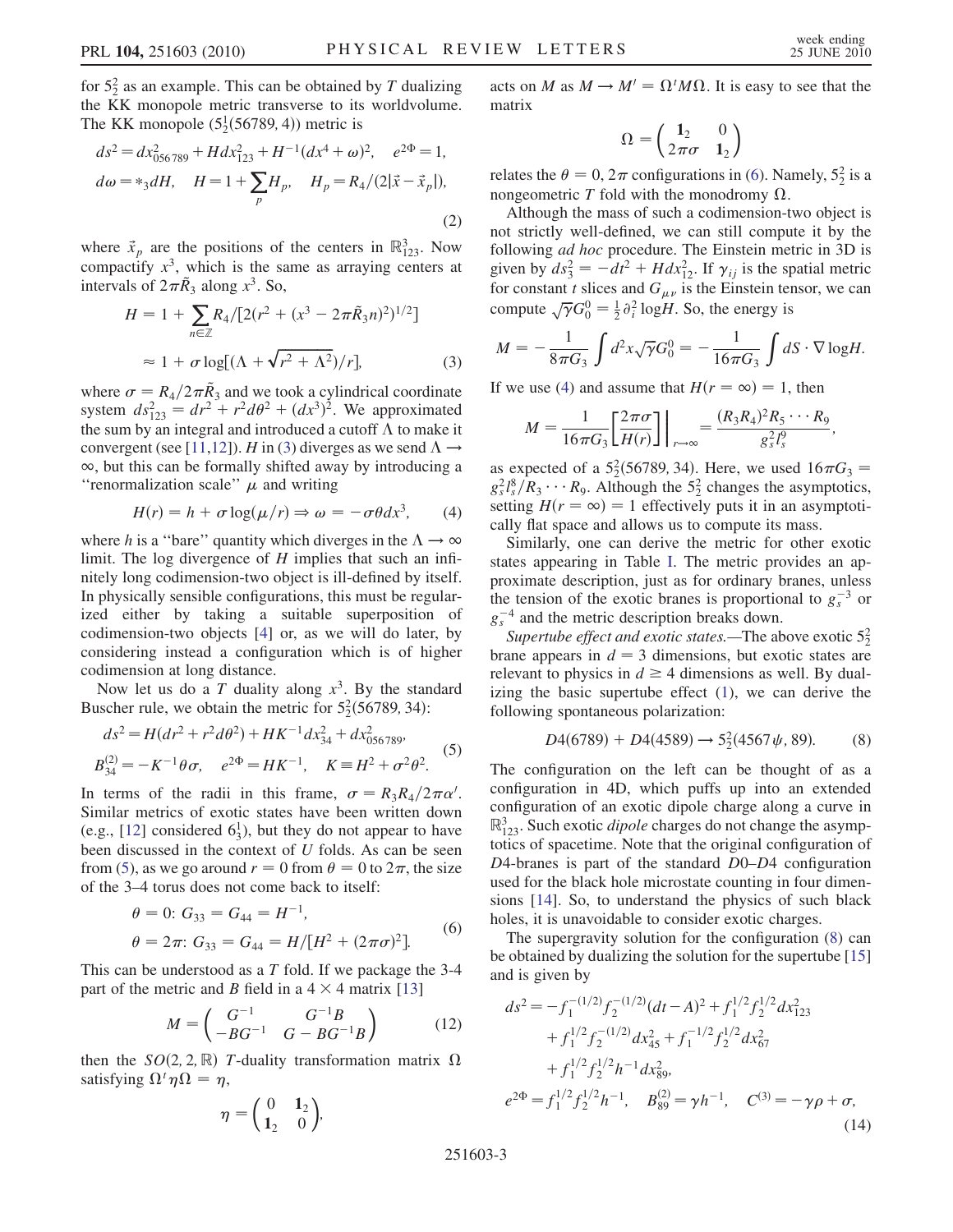for  $5<sub>2</sub><sup>2</sup>$  as an example. This can be obtained by T dualizing<br>the KK monopole metric transverse to its worldvolume the KK monopole metric transverse to its worldvolume. The KK monopole  $(5\frac{1}{2}(56789, 4))$  metric is

$$
ds^{2} = dx_{056789}^{2} + Hdx_{123}^{2} + H^{-1}(dx^{4} + \omega)^{2}, \quad e^{2\Phi} = 1,
$$
  
\n
$$
d\omega = *_{3}dH, \quad H = 1 + \sum_{p} H_{p}, \quad H_{p} = R_{4}/(2|\vec{x} - \vec{x}_{p}|),
$$
\n(2)

where  $\vec{x}_p$  are the positions of the centers in  $\mathbb{R}^3_{123}$ . Now compactify  $x^3$  which is the same as arraying centers at compactify  $x<sup>3</sup>$ , which is the same as arraying centers at intervals of  $2\pi R_3$  along  $x^3$ . So,

<span id="page-3-0"></span>
$$
H = 1 + \sum_{n \in \mathbb{Z}} R_4 / [2(r^2 + (x^3 - 2\pi \tilde{R}_3 n)^2)^{1/2}]
$$
  

$$
\approx 1 + \sigma \log[(\Lambda + \sqrt{r^2 + \Lambda^2})/r], \tag{3}
$$

where  $\sigma = R_4/2\pi \hat{R}_3$  and we took a cylindrical coordinate<br>system  $ds_{xx}^2 = dr^2 + r^2 d\theta^2 + (dr^3)^2$ . We approximated system  $ds_{123}^2 = dr^2 + r^2 d\theta^2 + (dx^3)^2$ . We approximated<br>the sum by an integral and introduced a cutoff  $\Lambda$  to make it the sum by an integral and introduced a cutoff  $\Lambda$  to make it<br>convergent (see [11.12])  $H$  in (3) diverges as we send  $\Lambda \rightarrow$ convergent (see [[11,](#page-4-10)[12](#page-4-11)]). H in ([3](#page-3-0)) diverges as we send  $\Lambda \rightarrow \infty$  but this can be formally shifted away by introducing a  $\infty$ , but this can be formally shifted away by introducing a "renormalization scale"  $\mu$  and writing

$$
H(r) = h + \sigma \log(\mu/r) \Rightarrow \omega = -\sigma \theta dx^3, \qquad (4)
$$

<span id="page-3-3"></span>where h is a "bare" quantity which diverges in the  $\Lambda \rightarrow \infty$ <br>limit. The log divergence of H implies that such an infilimit. The log divergence of  $H$  implies that such an infinitely long codimension-two object is ill-defined by itself. In physically sensible configurations, this must be regularized either by taking a suitable superposition of codimension-two objects [[4](#page-4-3)] or, as we will do later, by considering instead a configuration which is of higher codimension at long distance.

Now let us do a T duality along  $x^3$ . By the standard Buscher rule, we obtain the metric for  $5\frac{2}{2}$ (56789, 34):

<span id="page-3-1"></span>
$$
ds^{2} = H(dr^{2} + r^{2}d\theta^{2}) + HK^{-1}dx_{34}^{2} + dx_{056789}^{2},
$$
  
\n
$$
B_{34}^{(2)} = -K^{-1}\theta\sigma, \quad e^{2\Phi} = HK^{-1}, \quad K \equiv H^{2} + \sigma^{2}\theta^{2}.
$$
\n(5)

In terms of the radii in this frame,  $\sigma = R_3 R_4/2\pi \alpha'$ .<br>Similar metrics of exotic states have been written down Similar metrics of exotic states have been written down (e.g., [\[12\]](#page-4-11) considered  $6_3^1$ ), but they do not appear to have<br>been discussed in the context of *U* folds. As can be seen been discussed in the context of U folds. As can be seen from [\(5](#page-3-1)), as we go around  $r = 0$  from  $\theta = 0$  to  $2\pi$ , the size of the 3-4 torus does not come back to itself: of the 3–4 torus does not come back to itself:

<span id="page-3-2"></span>
$$
\theta = 0: G_{33} = G_{44} = H^{-1},
$$
  
\n
$$
\theta = 2\pi: G_{33} = G_{44} = H/[H^2 + (2\pi\sigma)^2].
$$
 (6)

This can be understood as a  $T$  fold. If we package the 3-4 part of the metric and B field in a  $4 \times 4$  matrix [\[13\]](#page-4-12)

$$
M = \begin{pmatrix} G^{-1} & G^{-1}B \\ -BG^{-1} & G - BG^{-1}B \end{pmatrix}
$$
 (12)

then the  $SO(2, 2, \mathbb{R})$  T-duality transformation matrix  $\Omega$ satisfying  $\Omega^t \eta \Omega = \eta$ ,

$$
\eta = \begin{pmatrix} 0 & 1_2 \\ 1_2 & 0 \end{pmatrix},
$$

acts on M as  $M \to M' = \Omega^t M \Omega$ . It is easy to see that the matrix matrix

$$
\Omega = \begin{pmatrix} 1_2 & 0 \\ 2\pi\sigma & 1_2 \end{pmatrix}
$$

relates the  $\theta = 0$ ,  $2\pi$  configurations in ([6\)](#page-3-2). Namely,  $5\frac{2}{2}$  is a nongeometric T fold with the monodromy O nongeometric T fold with the monodromy  $\Omega$ .

Although the mass of such a codimension-two object is not strictly well-defined, we can still compute it by the following *ad hoc* procedure. The Einstein metric in 3D is given by  $ds_3^2 = -dt^2 + Hdx_{12}^2$ . If  $\gamma_{ij}$  is the spatial metric for constant t slices and  $G$  is the Einstein tensor, we can for constant t slices and  $G_{\mu\nu}$  is the Einstein tensor, we can compute  $\sqrt{\gamma}G_0^0 = \frac{1}{2} \partial_i^2 \log H$ . So, the energy is

$$
M = -\frac{1}{8\pi G_3} \int d^2x \sqrt{\gamma} G_0^0 = -\frac{1}{16\pi G_3} \int dS \cdot \nabla \log H.
$$

If we use ([4\)](#page-3-3) and assume that  $H(r = \infty) = 1$ , then

$$
M=\frac{1}{16\pi G_3}\left[\frac{2\pi\sigma}{H(r)}\right]\bigg|_{r\to\infty}=\frac{(R_3R_4)^2R_5\cdots R_9}{g_s^2l_s^9},
$$

as expected of a  $5^2$ (56789, 34). Here, we used  $16\pi G_3 =$ <br> $a^2 l^8 / R_3 \cdots R_5$ . Although the 5<sup>2</sup> changes the asymptotics  $g_s^2 l_s^8 / R_3 \cdots R_9$ . Although the  $5^2$  changes the asymptotics,<br>setting  $H(r = \infty) = 1$  effectively puts it in an asymptotisetting  $H(r = \infty) = 1$  effectively puts it in an asymptotically flat space and allows us to compute its mass.

Similarly, one can derive the metric for other exotic states appearing in Table [I](#page-2-0). The metric provides an approximate description, just as for ordinary branes, unless the tension of the exotic branes is proportional to  $g_s^{-3}$  or  $g_s^{-4}$  and the metric description breaks down.

Supertube effect and exotic states.—The above exotic  $5^2$ brane appears in  $d = 3$  dimensions, but exotic states are<br>relevant to physics in  $d \ge 4$  dimensions as well. By dualrelevant to physics in  $d \geq 4$  dimensions as well. By dualizing the basic supertube effect [\(1](#page-1-0)), we can derive the following spontaneous polarization:

$$
D4(6789) + D4(4589) \rightarrow 5_2^2(4567\psi, 89). \tag{8}
$$

<span id="page-3-4"></span>The configuration on the left can be thought of as a configuration in 4D, which puffs up into an extended configuration of an exotic dipole charge along a curve in  $\mathbb{R}^3_{123}$ . Such exotic *dipole* charges do not change the asymptotics of spacetime. Note that the original configuration of totics of spacetime. Note that the original configuration of <sup>D</sup>4-branes is part of the standard <sup>D</sup>0–D4 configuration used for the black hole microstate counting in four dimensions [\[14\]](#page-4-13). So, to understand the physics of such black holes, it is unavoidable to consider exotic charges.

The supergravity solution for the configuration [\(8](#page-3-4)) can be obtained by dualizing the solution for the supertube [\[15\]](#page-4-14) and is given by

$$
ds^{2} = -f_{1}^{-(1/2)}f_{2}^{-(1/2)}(dt - A)^{2} + f_{1}^{1/2}f_{2}^{1/2}dx_{123}^{2} + f_{1}^{1/2}f_{2}^{-(1/2)}dx_{45}^{2} + f_{1}^{-1/2}f_{2}^{1/2}dx_{67}^{2} + f_{1}^{1/2}f_{2}^{1/2}h^{-1}dx_{89}^{2},
$$
  

$$
e^{2\Phi} = f_{1}^{1/2}f_{2}^{1/2}h^{-1}, \quad B_{89}^{(2)} = \gamma h^{-1}, \quad C^{(3)} = -\gamma \rho + \sigma,
$$
  
(14)